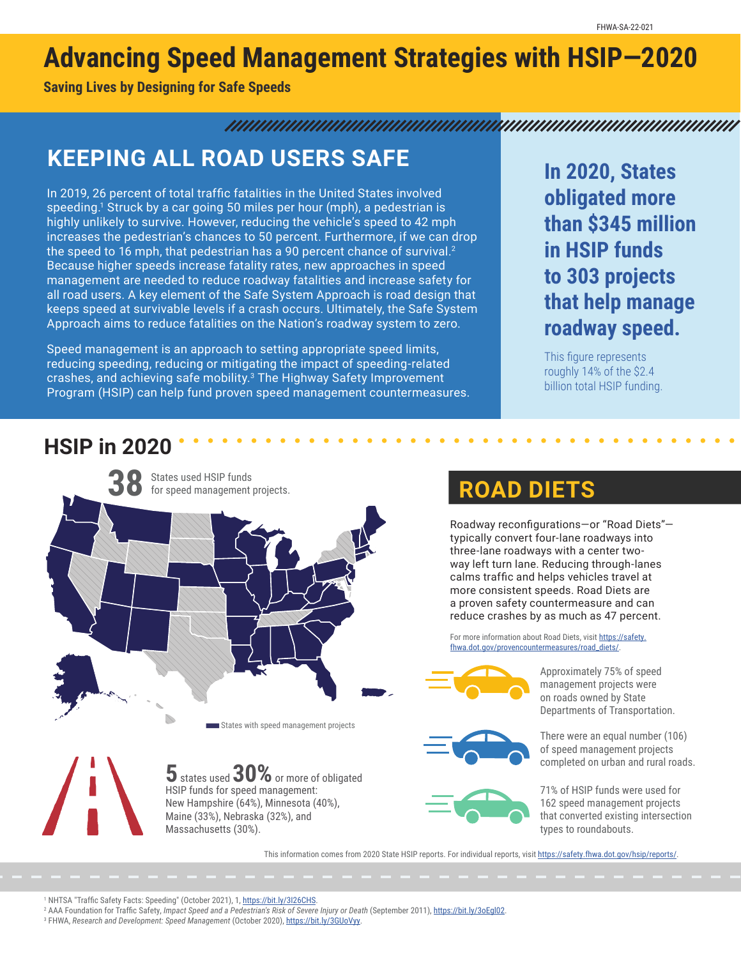# **Advancing Speed Management Strategies with HSIP—2020**

**Saving Lives by Designing for Safe Speeds**

#### 

## **KEEPING ALL ROAD USERS SAFE**

In 2019, 26 percent of total traffic fatalities in the United States involved speeding.<sup>1</sup> Struck by a car going 50 miles per hour (mph), a pedestrian is highly unlikely to survive. However, reducing the vehicle's speed to 42 mph increases the pedestrian's chances to 50 percent. Furthermore, if we can drop the speed to 16 mph, that pedestrian has a 90 percent chance of survival.<sup>2</sup> Because higher speeds increase fatality rates, new approaches in speed management are needed to reduce roadway fatalities and increase safety for all road users. A key element of the Safe System Approach is road design that keeps speed at survivable levels if a crash occurs. Ultimately, the Safe System Approach aims to reduce fatalities on the Nation's roadway system to zero.

Speed management is an approach to setting appropriate speed limits, reducing speeding, reducing or mitigating the impact of speeding-related crashes, and achieving safe mobility.<sup>3</sup> The Highway Safety Improvement Program (HSIP) can help fund proven speed management countermeasures.

**In 2020, States obligated more than \$345 million in HSIP funds to 303 projects that help manage roadway speed.**

This figure represents roughly 14% of the \$2.4 billion total HSIP funding.

### **HSIP in 2020**



### **38 ROAD DIETS**

Roadway reconfigurations—or "Road Diets" typically convert four-lane roadways into three-lane roadways with a center twoway left turn lane. Reducing through-lanes calms traffic and helps vehicles travel at more consistent speeds. Road Diets are a proven safety countermeasure and can reduce crashes by as much as 47 percent.

For more information about Road Diets, visit [https://safety.](https://safety.fhwa.dot.gov/provencountermeasures/road_diets/) [fhwa.dot.gov/provencountermeasures/road\\_diets/.](https://safety.fhwa.dot.gov/provencountermeasures/road_diets/)



Approximately 75% of speed management projects were on roads owned by State Departments of Transportation.





There were an equal number (106) of speed management projects completed on urban and rural roads.

71% of HSIP funds were used for 162 speed management projects that converted existing intersection types to roundabouts.

This information comes from 2020 State HSIP reports. For individual reports, visit <https://safety.fhwa.dot.gov/hsip/reports/>.

<sup>1</sup> NHTSA "Traffic Safety Facts: Speeding" (October 2021), 1, <u><https://bit.ly/3I26CHS></u>.

2 AAA Foundation for Traffic Safety, *Impact Speed and a Pedestrian's Risk of Severe Injury or Death* (September 2011),<https://bit.ly/3oEgl02>.

3 FHWA, *Research and Development: Speed Management* (October 2020), [https://bit.ly/3GUoVyy.](https://bit.ly/3GUoVyy)